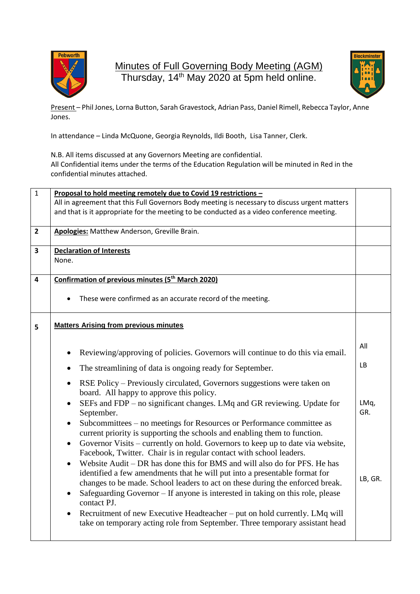

Minutes of Full Governing Body Meeting (AGM) Thursday, 14<sup>th</sup> May 2020 at 5pm held online.



Present – Phil Jones, Lorna Button, Sarah Gravestock, Adrian Pass, Daniel Rimell, Rebecca Taylor, Anne Jones.

In attendance – Linda McQuone, Georgia Reynolds, Ildi Booth, Lisa Tanner, Clerk.

N.B. All items discussed at any Governors Meeting are confidential. All Confidential items under the terms of the Education Regulation will be minuted in Red in the confidential minutes attached.

| $\mathbf{1}$<br>Proposal to hold meeting remotely due to Covid 19 restrictions -<br>All in agreement that this Full Governors Body meeting is necessary to discuss urgent matters |                                                                                                                                                                                                                                                      |  |
|-----------------------------------------------------------------------------------------------------------------------------------------------------------------------------------|------------------------------------------------------------------------------------------------------------------------------------------------------------------------------------------------------------------------------------------------------|--|
|                                                                                                                                                                                   |                                                                                                                                                                                                                                                      |  |
| Apologies: Matthew Anderson, Greville Brain.                                                                                                                                      |                                                                                                                                                                                                                                                      |  |
| <b>Declaration of Interests</b><br>None.                                                                                                                                          |                                                                                                                                                                                                                                                      |  |
| Confirmation of previous minutes (5 <sup>th</sup> March 2020)                                                                                                                     |                                                                                                                                                                                                                                                      |  |
| These were confirmed as an accurate record of the meeting.                                                                                                                        |                                                                                                                                                                                                                                                      |  |
| <b>Matters Arising from previous minutes</b>                                                                                                                                      |                                                                                                                                                                                                                                                      |  |
| Reviewing/approving of policies. Governors will continue to do this via email.                                                                                                    | All                                                                                                                                                                                                                                                  |  |
| The streamlining of data is ongoing ready for September.                                                                                                                          | <b>LB</b>                                                                                                                                                                                                                                            |  |
| RSE Policy – Previously circulated, Governors suggestions were taken on<br>board. All happy to approve this policy.                                                               |                                                                                                                                                                                                                                                      |  |
| September.                                                                                                                                                                        | LMq,<br>GR.                                                                                                                                                                                                                                          |  |
| Subcommittees - no meetings for Resources or Performance committee as                                                                                                             |                                                                                                                                                                                                                                                      |  |
| Governor Visits – currently on hold. Governors to keep up to date via website,<br>Facebook, Twitter. Chair is in regular contact with school leaders.                             |                                                                                                                                                                                                                                                      |  |
| Website Audit – DR has done this for BMS and will also do for PFS. He has<br>$\bullet$<br>identified a few amendments that he will put into a presentable format for              | LB, GR.                                                                                                                                                                                                                                              |  |
| Safeguarding Governor – If anyone is interested in taking on this role, please                                                                                                    |                                                                                                                                                                                                                                                      |  |
| Recruitment of new Executive Headteacher – put on hold currently. LMq will<br>take on temporary acting role from September. Three temporary assistant head                        |                                                                                                                                                                                                                                                      |  |
|                                                                                                                                                                                   | SEFs and FDP - no significant changes. LMq and GR reviewing. Update for<br>current priority is supporting the schools and enabling them to function.<br>changes to be made. School leaders to act on these during the enforced break.<br>contact PJ. |  |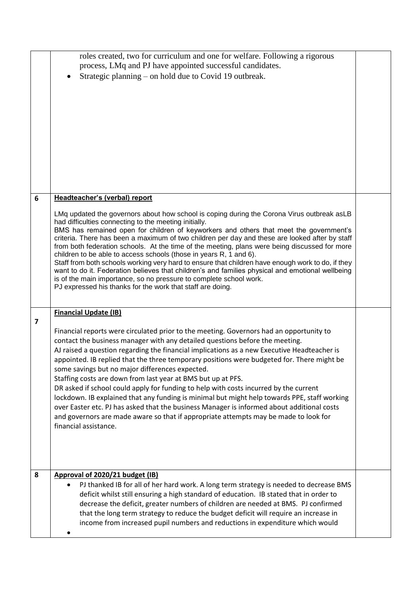|                         | roles created, two for curriculum and one for welfare. Following a rigorous<br>process, LMq and PJ have appointed successful candidates.<br>Strategic planning - on hold due to Covid 19 outbreak.                                                                                                                                                                                                                                                                                                                                                                                                                                                                                                                                                                                                                                                                                                                              |  |
|-------------------------|---------------------------------------------------------------------------------------------------------------------------------------------------------------------------------------------------------------------------------------------------------------------------------------------------------------------------------------------------------------------------------------------------------------------------------------------------------------------------------------------------------------------------------------------------------------------------------------------------------------------------------------------------------------------------------------------------------------------------------------------------------------------------------------------------------------------------------------------------------------------------------------------------------------------------------|--|
| 6                       | Headteacher's (verbal) report<br>LMq updated the governors about how school is coping during the Corona Virus outbreak as LB<br>had difficulties connecting to the meeting initially.<br>BMS has remained open for children of keyworkers and others that meet the government's<br>criteria. There has been a maximum of two children per day and these are looked after by staff<br>from both federation schools. At the time of the meeting, plans were being discussed for more<br>children to be able to access schools (those in years R, 1 and 6).<br>Staff from both schools working very hard to ensure that children have enough work to do, if they<br>want to do it. Federation believes that children's and families physical and emotional wellbeing<br>is of the main importance, so no pressure to complete school work.<br>PJ expressed his thanks for the work that staff are doing.                           |  |
| $\overline{\mathbf{z}}$ | <b>Financial Update (IB)</b><br>Financial reports were circulated prior to the meeting. Governors had an opportunity to<br>contact the business manager with any detailed questions before the meeting.<br>AJ raised a question regarding the financial implications as a new Executive Headteacher is<br>appointed. IB replied that the three temporary positions were budgeted for. There might be<br>some savings but no major differences expected.<br>Staffing costs are down from last year at BMS but up at PFS.<br>DR asked if school could apply for funding to help with costs incurred by the current<br>lockdown. IB explained that any funding is minimal but might help towards PPE, staff working<br>over Easter etc. PJ has asked that the business Manager is informed about additional costs<br>and governors are made aware so that if appropriate attempts may be made to look for<br>financial assistance. |  |
| 8                       | Approval of 2020/21 budget (IB)<br>PJ thanked IB for all of her hard work. A long term strategy is needed to decrease BMS<br>deficit whilst still ensuring a high standard of education. IB stated that in order to<br>decrease the deficit, greater numbers of children are needed at BMS. PJ confirmed<br>that the long term strategy to reduce the budget deficit will require an increase in<br>income from increased pupil numbers and reductions in expenditure which would                                                                                                                                                                                                                                                                                                                                                                                                                                               |  |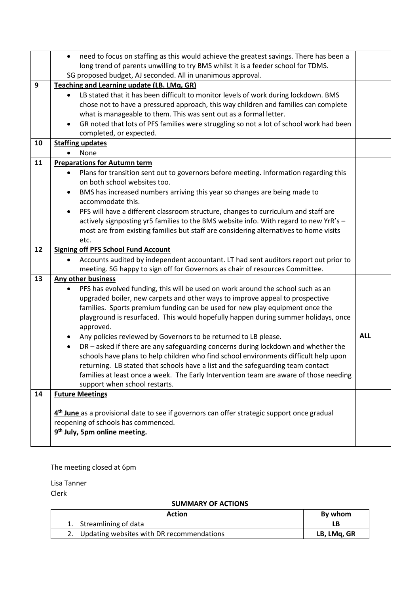|    | need to focus on staffing as this would achieve the greatest savings. There has been a<br>$\bullet$     |            |  |  |  |
|----|---------------------------------------------------------------------------------------------------------|------------|--|--|--|
|    | long trend of parents unwilling to try BMS whilst it is a feeder school for TDMS.                       |            |  |  |  |
|    | SG proposed budget, AJ seconded. All in unanimous approval.                                             |            |  |  |  |
| 9  | Teaching and Learning update (LB. LMq, GR)                                                              |            |  |  |  |
|    | LB stated that it has been difficult to monitor levels of work during lockdown. BMS<br>$\bullet$        |            |  |  |  |
|    | chose not to have a pressured approach, this way children and families can complete                     |            |  |  |  |
|    | what is manageable to them. This was sent out as a formal letter.                                       |            |  |  |  |
|    | GR noted that lots of PFS families were struggling so not a lot of school work had been                 |            |  |  |  |
|    | completed, or expected.                                                                                 |            |  |  |  |
| 10 | <b>Staffing updates</b>                                                                                 |            |  |  |  |
|    | None                                                                                                    |            |  |  |  |
| 11 | <b>Preparations for Autumn term</b>                                                                     |            |  |  |  |
|    | Plans for transition sent out to governors before meeting. Information regarding this                   |            |  |  |  |
|    | on both school websites too.                                                                            |            |  |  |  |
|    | BMS has increased numbers arriving this year so changes are being made to<br>$\bullet$                  |            |  |  |  |
|    | accommodate this.                                                                                       |            |  |  |  |
|    | PFS will have a different classroom structure, changes to curriculum and staff are                      |            |  |  |  |
|    | actively signposting yr5 families to the BMS website info. With regard to new YrR's -                   |            |  |  |  |
|    | most are from existing families but staff are considering alternatives to home visits                   |            |  |  |  |
|    | etc.                                                                                                    |            |  |  |  |
| 12 | <b>Signing off PFS School Fund Account</b>                                                              |            |  |  |  |
|    | Accounts audited by independent accountant. LT had sent auditors report out prior to                    |            |  |  |  |
|    | meeting. SG happy to sign off for Governors as chair of resources Committee.                            |            |  |  |  |
| 13 | <b>Any other business</b>                                                                               |            |  |  |  |
|    | PFS has evolved funding, this will be used on work around the school such as an                         |            |  |  |  |
|    | upgraded boiler, new carpets and other ways to improve appeal to prospective                            |            |  |  |  |
|    | families. Sports premium funding can be used for new play equipment once the                            |            |  |  |  |
|    | playground is resurfaced. This would hopefully happen during summer holidays, once                      |            |  |  |  |
|    | approved.                                                                                               |            |  |  |  |
|    | Any policies reviewed by Governors to be returned to LB please.<br>$\bullet$                            | <b>ALL</b> |  |  |  |
|    | DR - asked if there are any safeguarding concerns during lockdown and whether the<br>$\bullet$          |            |  |  |  |
|    | schools have plans to help children who find school environments difficult help upon                    |            |  |  |  |
|    | returning. LB stated that schools have a list and the safeguarding team contact                         |            |  |  |  |
|    | families at least once a week. The Early Intervention team are aware of those needing                   |            |  |  |  |
|    | support when school restarts.                                                                           |            |  |  |  |
| 14 | <b>Future Meetings</b>                                                                                  |            |  |  |  |
|    |                                                                                                         |            |  |  |  |
|    | 4 <sup>th</sup> June as a provisional date to see if governors can offer strategic support once gradual |            |  |  |  |
|    | reopening of schools has commenced.                                                                     |            |  |  |  |
|    | 9 <sup>th</sup> July, 5pm online meeting.                                                               |            |  |  |  |
|    |                                                                                                         |            |  |  |  |

The meeting closed at 6pm

Lisa Tanner Clerk

## **SUMMARY OF ACTIONS**

| Action                                       | By whom     |
|----------------------------------------------|-------------|
| 1. Streamlining of data                      |             |
| 2. Updating websites with DR recommendations | LB, LMg, GR |